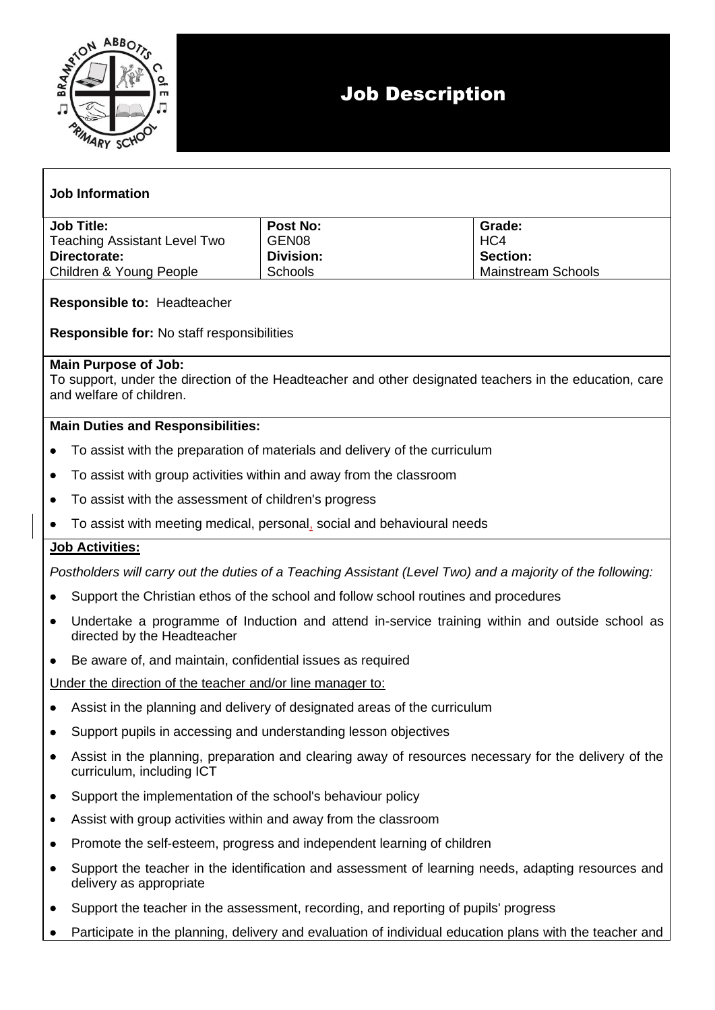

## **Job Information**

| <b>Job Title:</b>                   | Post No:  | Grade:             |
|-------------------------------------|-----------|--------------------|
| <b>Teaching Assistant Level Two</b> | GEN08     | HC4                |
| Directorate:                        | Division: | <b>Section:</b>    |
| Children & Young People             | Schools   | Mainstream Schools |

### **Responsible to:** Headteacher

**Responsible for:** No staff responsibilities

#### **Main Purpose of Job:**

To support, under the direction of the Headteacher and other designated teachers in the education, care and welfare of children.

### **Main Duties and Responsibilities:**

- To assist with the preparation of materials and delivery of the curriculum
- To assist with group activities within and away from the classroom
- To assist with the assessment of children's progress
- To assist with meeting medical, personal, social and behavioural needs

### **Job Activities:**

*Postholders will carry out the duties of a Teaching Assistant (Level Two) and a majority of the following:*

- Support the Christian ethos of the school and follow school routines and procedures
- Undertake a programme of Induction and attend in-service training within and outside school as directed by the Headteacher
- Be aware of, and maintain, confidential issues as required

Under the direction of the teacher and/or line manager to:

- Assist in the planning and delivery of designated areas of the curriculum
- Support pupils in accessing and understanding lesson objectives
- Assist in the planning, preparation and clearing away of resources necessary for the delivery of the curriculum, including ICT
- Support the implementation of the school's behaviour policy
- Assist with group activities within and away from the classroom
- Promote the self-esteem, progress and independent learning of children
- Support the teacher in the identification and assessment of learning needs, adapting resources and delivery as appropriate
- Support the teacher in the assessment, recording, and reporting of pupils' progress
- Participate in the planning, delivery and evaluation of individual education plans with the teacher and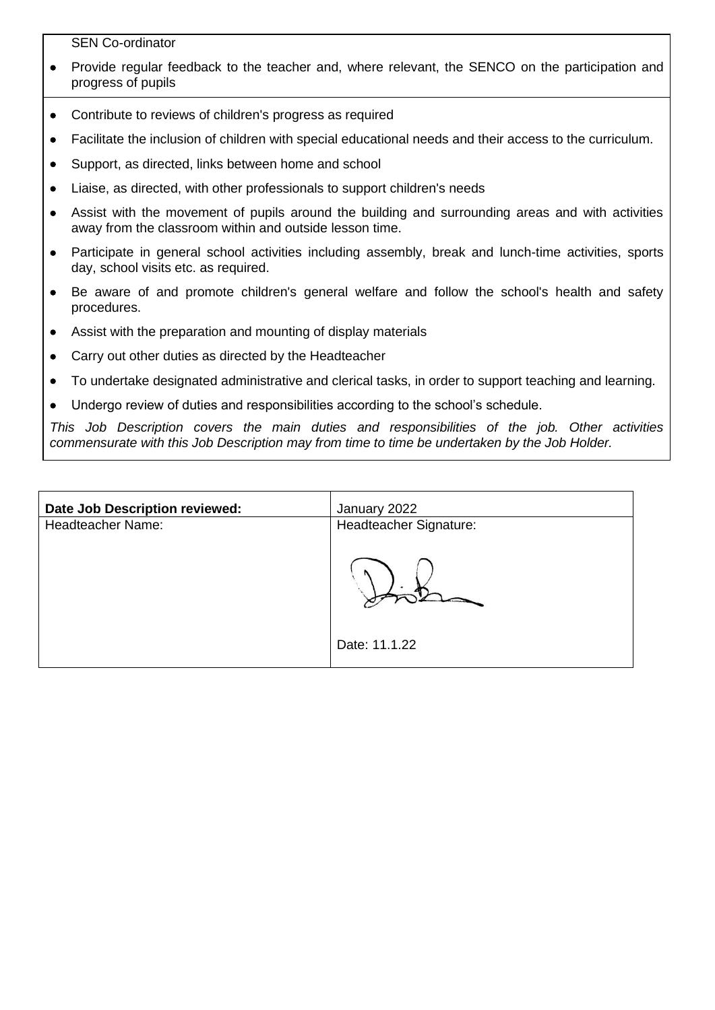SEN Co-ordinator

- Provide regular feedback to the teacher and, where relevant, the SENCO on the participation and progress of pupils
- Contribute to reviews of children's progress as required
- Facilitate the inclusion of children with special educational needs and their access to the curriculum.
- Support, as directed, links between home and school
- Liaise, as directed, with other professionals to support children's needs
- Assist with the movement of pupils around the building and surrounding areas and with activities away from the classroom within and outside lesson time.
- Participate in general school activities including assembly, break and lunch-time activities, sports day, school visits etc. as required.
- Be aware of and promote children's general welfare and follow the school's health and safety procedures.
- Assist with the preparation and mounting of display materials
- Carry out other duties as directed by the Headteacher
- To undertake designated administrative and clerical tasks, in order to support teaching and learning.
- Undergo review of duties and responsibilities according to the school's schedule.

*This Job Description covers the main duties and responsibilities of the job. Other activities commensurate with this Job Description may from time to time be undertaken by the Job Holder.*

| Date Job Description reviewed: | January 2022           |
|--------------------------------|------------------------|
| Headteacher Name:              | Headteacher Signature: |
|                                |                        |
|                                |                        |
|                                | Date: 11.1.22          |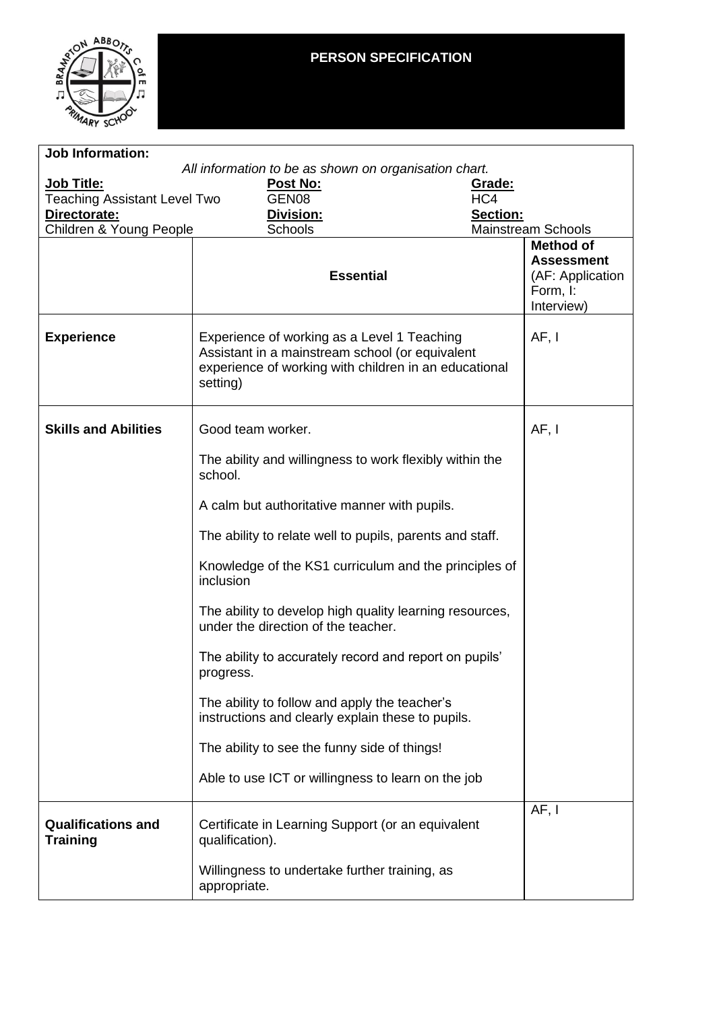

# **PERSON SPECIFICATION**

| <b>Job Information:</b>                               |                                                                                                                                                                     |                                                                 |  |  |  |
|-------------------------------------------------------|---------------------------------------------------------------------------------------------------------------------------------------------------------------------|-----------------------------------------------------------------|--|--|--|
| All information to be as shown on organisation chart. |                                                                                                                                                                     |                                                                 |  |  |  |
| Job Title:                                            | Post No:                                                                                                                                                            | Grade:                                                          |  |  |  |
| <b>Teaching Assistant Level Two</b>                   | GEN <sub>08</sub>                                                                                                                                                   | HC4                                                             |  |  |  |
| Directorate:<br>Children & Young People               | Division:<br>Schools                                                                                                                                                | Section:<br><b>Mainstream Schools</b>                           |  |  |  |
|                                                       |                                                                                                                                                                     | <b>Method of</b>                                                |  |  |  |
|                                                       | <b>Essential</b>                                                                                                                                                    | <b>Assessment</b><br>(AF: Application<br>Form, I:<br>Interview) |  |  |  |
| <b>Experience</b>                                     | Experience of working as a Level 1 Teaching<br>Assistant in a mainstream school (or equivalent<br>experience of working with children in an educational<br>setting) | AF, I                                                           |  |  |  |
| <b>Skills and Abilities</b>                           | Good team worker.                                                                                                                                                   | AF, I                                                           |  |  |  |
|                                                       | The ability and willingness to work flexibly within the<br>school.                                                                                                  |                                                                 |  |  |  |
|                                                       | A calm but authoritative manner with pupils.                                                                                                                        |                                                                 |  |  |  |
|                                                       | The ability to relate well to pupils, parents and staff.                                                                                                            |                                                                 |  |  |  |
|                                                       | Knowledge of the KS1 curriculum and the principles of<br>inclusion                                                                                                  |                                                                 |  |  |  |
|                                                       | The ability to develop high quality learning resources,<br>under the direction of the teacher.                                                                      |                                                                 |  |  |  |
|                                                       | The ability to accurately record and report on pupils'<br>progress.                                                                                                 |                                                                 |  |  |  |
|                                                       | The ability to follow and apply the teacher's<br>instructions and clearly explain these to pupils.                                                                  |                                                                 |  |  |  |
|                                                       | The ability to see the funny side of things!                                                                                                                        |                                                                 |  |  |  |
|                                                       | Able to use ICT or willingness to learn on the job                                                                                                                  |                                                                 |  |  |  |
| <b>Qualifications and</b><br><b>Training</b>          | Certificate in Learning Support (or an equivalent<br>qualification).                                                                                                | AF, I                                                           |  |  |  |
|                                                       | Willingness to undertake further training, as<br>appropriate.                                                                                                       |                                                                 |  |  |  |